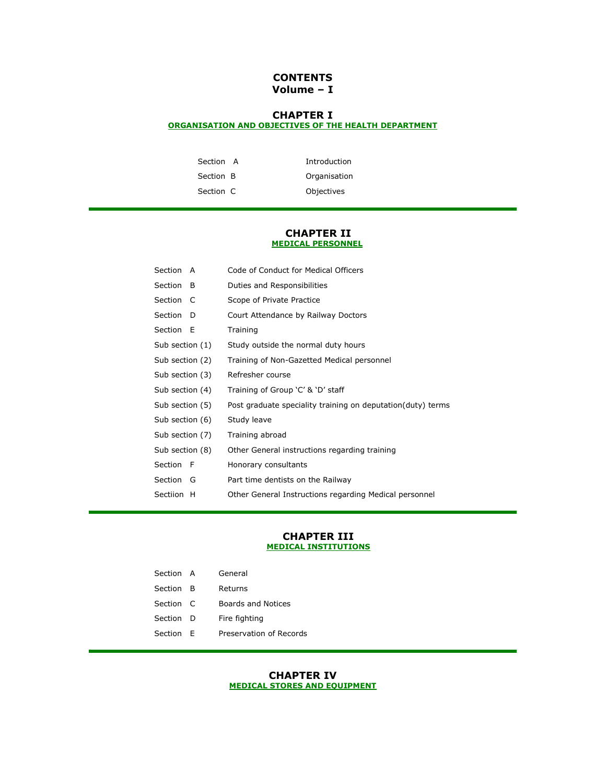## **CONTENTS Volume – I**

# **CHAPTER I**

## **[ORGANISATION AND OBJECTIVES OF THE HEALTH DEPARTMENT](http://10.1.10.21/health/IRMM/Chapter1.pdf)**

| Section A | Introduction |
|-----------|--------------|
| Section B | Organisation |
| Section C | Objectives   |

#### **CHAPTER II [MEDICAL PERSONNEL](http://10.1.10.21/health/IRMM/Chapter2.pdf)**

| Section A       | Code of Conduct for Medical Officers                        |
|-----------------|-------------------------------------------------------------|
| Section<br>- B  | Duties and Responsibilities                                 |
| Section C       | Scope of Private Practice                                   |
| Section<br>- D  | Court Attendance by Railway Doctors                         |
| Section E       | Training                                                    |
| Sub section (1) | Study outside the normal duty hours                         |
| Sub section (2) | Training of Non-Gazetted Medical personnel                  |
| Sub section (3) | Refresher course                                            |
| Sub section (4) | Training of Group 'C' & 'D' staff                           |
| Sub section (5) | Post graduate speciality training on deputation(duty) terms |
| Sub section (6) | Study leave                                                 |
| Sub section (7) | Training abroad                                             |
| Sub section (8) | Other General instructions regarding training               |
| Section F       | Honorary consultants                                        |
| Section<br>G    | Part time dentists on the Railway                           |
| Sectiion H      | Other General Instructions regarding Medical personnel      |

#### **CHAPTER III [MEDICAL INSTITUTIONS](http://10.1.10.21/health/IRMM/Chapter3.pdf)**

| Section A |    | General                 |
|-----------|----|-------------------------|
| Section   | в  | Refurns                 |
| Section C |    | Boards and Notices      |
| Section   | D  | Fire fighting           |
| Section   | F. | Preservation of Records |

### **CHAPTER IV [MEDICAL STORES AND EQUIPMENT](http://10.1.10.21/health/IRMM/Chapter4.pdf)**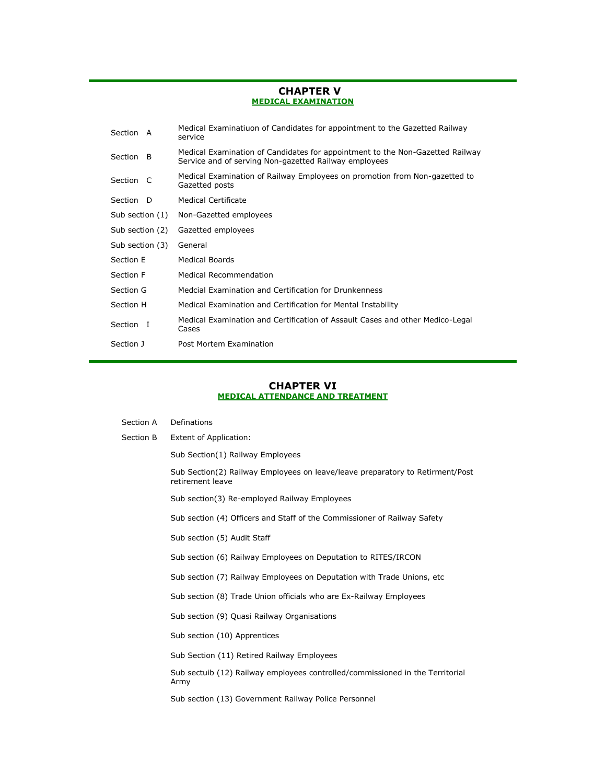### **CHAPTER V [MEDICAL EXAMINATION](http://10.1.10.21/health/IRMM/Chapter5.pdf)**

| Section A       |    | Medical Examinatiuon of Candidates for appointment to the Gazetted Railway<br>service                                                  |
|-----------------|----|----------------------------------------------------------------------------------------------------------------------------------------|
| Section         | -B | Medical Examination of Candidates for appointment to the Non-Gazetted Railway<br>Service and of serving Non-gazetted Railway employees |
| Section C       |    | Medical Examination of Railway Employees on promotion from Non-gazetted to<br>Gazetted posts                                           |
| Section D       |    | Medical Certificate                                                                                                                    |
| Sub section (1) |    | Non-Gazetted employees                                                                                                                 |
| Sub section (2) |    | Gazetted employees                                                                                                                     |
| Sub section (3) |    | General                                                                                                                                |
| Section E       |    | <b>Medical Boards</b>                                                                                                                  |
| Section F       |    | Medical Recommendation                                                                                                                 |
| Section G       |    | Medcial Examination and Certification for Drunkenness                                                                                  |
| Section H       |    | Medical Examination and Certification for Mental Instability                                                                           |
| Section I       |    | Medical Examination and Certification of Assault Cases and other Medico-Legal<br>Cases                                                 |
| Section J       |    | Post Mortem Examination                                                                                                                |

### **CHAPTER VI [MEDICAL ATTENDANCE AND TREATMENT](http://10.1.10.21/health/IRMM/Chapter6.pdf)**

| Section A | Definations                                                                                       |
|-----------|---------------------------------------------------------------------------------------------------|
| Section B | <b>Extent of Application:</b>                                                                     |
|           | Sub Section(1) Railway Employees                                                                  |
|           | Sub Section(2) Railway Employees on leave/leave preparatory to Retirment/Post<br>retirement leave |
|           | Sub section(3) Re-employed Railway Employees                                                      |
|           | Sub section (4) Officers and Staff of the Commissioner of Railway Safety                          |
|           | Sub section (5) Audit Staff                                                                       |
|           | Sub section (6) Railway Employees on Deputation to RITES/IRCON                                    |
|           | Sub section (7) Railway Employees on Deputation with Trade Unions, etc                            |
|           | Sub section (8) Trade Union officials who are Ex-Railway Employees                                |
|           | Sub section (9) Quasi Railway Organisations                                                       |
|           | Sub section (10) Apprentices                                                                      |
|           | Sub Section (11) Retired Railway Employees                                                        |
|           | Sub sectuib (12) Railway employees controlled/commissioned in the Territorial<br>Army             |
|           | Sub section (13) Government Railway Police Personnel                                              |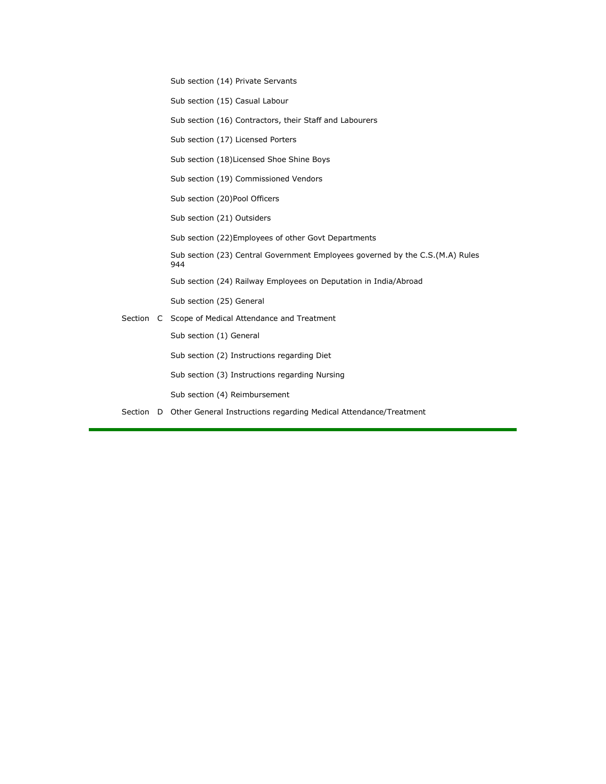Sub section (14) Private Servants Sub section (15) Casual Labour Sub section (16) Contractors, their Staff and Labourers Sub section (17) Licensed Porters Sub section (18)Licensed Shoe Shine Boys Sub section (19) Commissioned Vendors Sub section (20)Pool Officers Sub section (21) Outsiders Sub section (22)Employees of other Govt Departments Sub section (23) Central Government Employees governed by the C.S.(M.A) Rules 944 Sub section (24) Railway Employees on Deputation in India/Abroad Sub section (25) General Section C Scope of Medical Attendance and Treatment Sub section (1) General Sub section (2) Instructions regarding Diet Sub section (3) Instructions regarding Nursing Sub section (4) Reimbursement Section D Other General Instructions regarding Medical Attendance/Treatment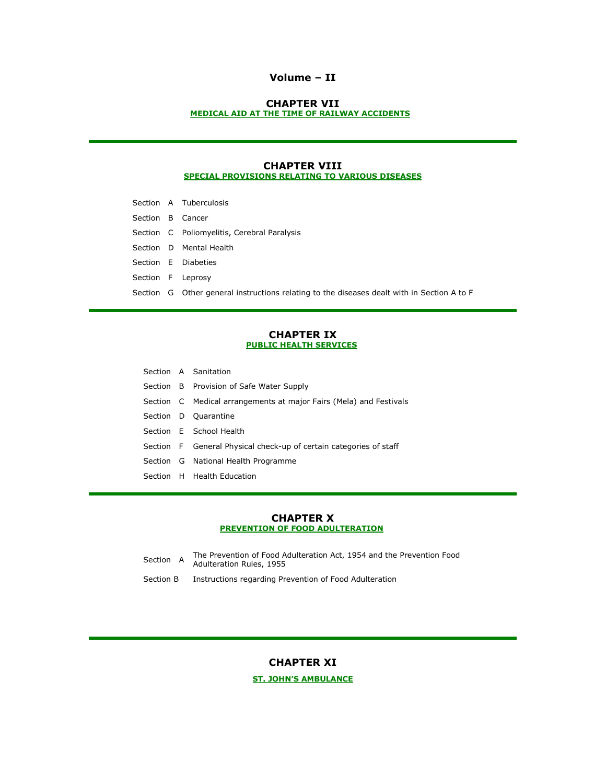### **Volume – II**

### **CHAPTER VII [MEDICAL AID AT THE TIME OF RAILWAY ACCIDENTS](http://10.1.10.21/health/IRMM/Chapter7.pdf)**

### **CHAPTER VIII [SPECIAL PROVISIONS RELATING TO VARIOUS DISEASES](http://10.1.10.21/health/IRMM/Chapter8.pdf)**

|                  | Section A Tuberculosis                                                                     |
|------------------|--------------------------------------------------------------------------------------------|
| Section B Cancer |                                                                                            |
|                  | Section C Poliomyelitis, Cerebral Paralysis                                                |
|                  | Section D Mental Health                                                                    |
|                  | Section E Diabeties                                                                        |
|                  | Section F Leprosy                                                                          |
|                  | Section G Other general instructions relating to the diseases dealt with in Section A to F |

#### **CHAPTER IX [PUBLIC HEALTH SERVICES](http://10.1.10.21/health/IRMM/Chapter9.pdf)**

|  | Section A Sanitation                                               |
|--|--------------------------------------------------------------------|
|  | Section B Provision of Safe Water Supply                           |
|  | Section C Medical arrangements at major Fairs (Mela) and Festivals |
|  | Section D Quarantine                                               |
|  | Section E School Health                                            |
|  | Section F General Physical check-up of certain categories of staff |
|  | Section G National Health Programme                                |
|  | Section H Health Education                                         |

### **CHAPTER X [PREVENTION OF FOOD ADULTERATION](http://10.1.10.21/health/IRMM/Chapter10.pdf)**

- Section A The Prevention of Food Adulteration Act, 1954 and the Prevention Food Adulteration Rules, 1955
- Section B Instructions regarding Prevention of Food Adulteration

### **CHAPTER XI**

### **[ST. JOHN'S AMBULANCE](http://10.1.10.21/health/IRMM/Chapter11.pdf)**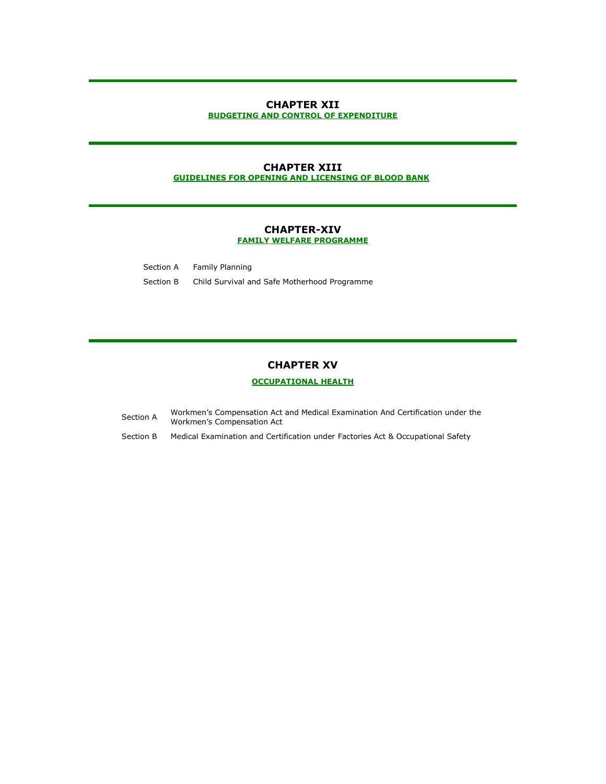#### **CHAPTER XII [BUDGETING AND CONTROL OF EXPENDITURE](http://10.1.10.21/health/IRMM/Chapter12.pdf)**

#### **CHAPTER XIII [GUIDELINES FOR OPENING AND LICENSING OF BLOOD BANK](http://10.1.10.21/health/IRMM/Chapter13.pdf)**

#### **CHAPTER-XIV [FAMILY WELFARE PROGRAMME](http://10.1.10.21/health/IRMM/Chapter14.pdf)**

Section A Family Planning Section B Child Survival and Safe Motherhood Programme

## **CHAPTER XV**

### **[OCCUPATIONAL HEALTH](http://10.1.10.21/health/IRMM/Chapter15.pdf)**

- Section A Workmen's Compensation Act and Medical Examination And Certification under the<br>
Workman's Compensation Act Workmen's Compensation Act
- Section B Medical Examination and Certification under Factories Act & Occupational Safety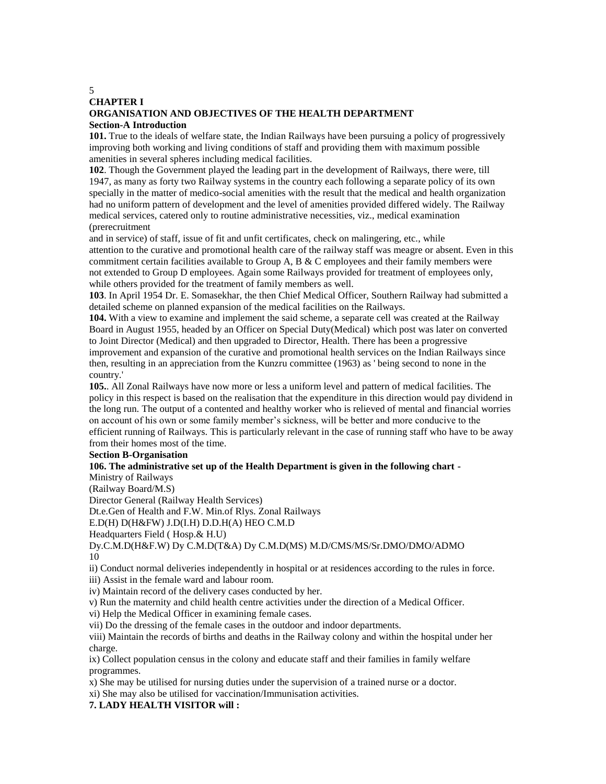# **CHAPTER I ORGANISATION AND OBJECTIVES OF THE HEALTH DEPARTMENT Section-A Introduction**

**101.** True to the ideals of welfare state, the Indian Railways have been pursuing a policy of progressively improving both working and living conditions of staff and providing them with maximum possible amenities in several spheres including medical facilities.

**102**. Though the Government played the leading part in the development of Railways, there were, till 1947, as many as forty two Railway systems in the country each following a separate policy of its own specially in the matter of medico-social amenities with the result that the medical and health organization had no uniform pattern of development and the level of amenities provided differed widely. The Railway medical services, catered only to routine administrative necessities, viz., medical examination (prerecruitment

and in service) of staff, issue of fit and unfit certificates, check on malingering, etc., while attention to the curative and promotional health care of the railway staff was meagre or absent. Even in this commitment certain facilities available to Group A, B  $\&$  C employees and their family members were not extended to Group D employees. Again some Railways provided for treatment of employees only, while others provided for the treatment of family members as well.

**103**. In April 1954 Dr. E. Somasekhar, the then Chief Medical Officer, Southern Railway had submitted a detailed scheme on planned expansion of the medical facilities on the Railways.

**104.** With a view to examine and implement the said scheme, a separate cell was created at the Railway Board in August 1955, headed by an Officer on Special Duty(Medical) which post was later on converted to Joint Director (Medical) and then upgraded to Director, Health. There has been a progressive improvement and expansion of the curative and promotional health services on the Indian Railways since then, resulting in an appreciation from the Kunzru committee (1963) as ' being second to none in the country.'

**105.**. All Zonal Railways have now more or less a uniform level and pattern of medical facilities. The policy in this respect is based on the realisation that the expenditure in this direction would pay dividend in the long run. The output of a contented and healthy worker who is relieved of mental and financial worries on account of his own or some family member's sickness, will be better and more conducive to the efficient running of Railways. This is particularly relevant in the case of running staff who have to be away from their homes most of the time.

### **Section B-Organisation**

### **106. The administrative set up of the Health Department is given in the following chart -**

Ministry of Railways

(Railway Board/M.S)

Director General (Railway Health Services)

Dt.e.Gen of Health and F.W. Min.of Rlys. Zonal Railways

E.D(H) D(H&FW) J.D(I.H) D.D.H(A) HEO C.M.D

Headquarters Field ( Hosp.& H.U)

Dy.C.M.D(H&F.W) Dy C.M.D(T&A) Dy C.M.D(MS) M.D/CMS/MS/Sr.DMO/DMO/ADMO 10

ii) Conduct normal deliveries independently in hospital or at residences according to the rules in force.

iii) Assist in the female ward and labour room.

iv) Maintain record of the delivery cases conducted by her.

v) Run the maternity and child health centre activities under the direction of a Medical Officer.

vi) Help the Medical Officer in examining female cases.

vii) Do the dressing of the female cases in the outdoor and indoor departments.

viii) Maintain the records of births and deaths in the Railway colony and within the hospital under her charge.

ix) Collect population census in the colony and educate staff and their families in family welfare programmes.

x) She may be utilised for nursing duties under the supervision of a trained nurse or a doctor.

xi) She may also be utilised for vaccination/Immunisation activities.

**7. LADY HEALTH VISITOR will :**

5